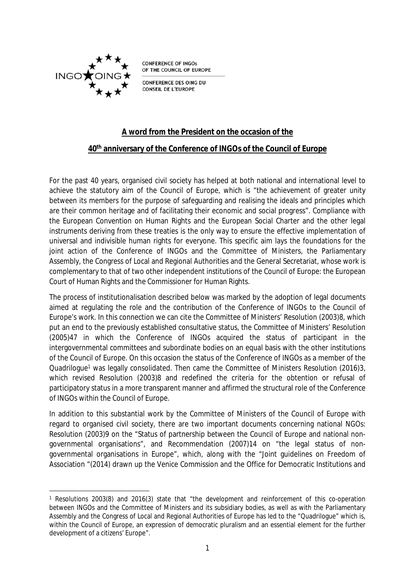

**CONFERENCE OF INGOS** OF THE COUNCIL OF EUROPE

**CONFERENCE DES OING DU CONSEIL DE L'EUROPE** 

## **A word from the President on the occasion of the**

#### **40th anniversary of the Conference of INGOs of the Council of Europe**

For the past 40 years, organised civil society has helped at both national and international level to achieve the statutory aim of the Council of Europe, which is "the achievement of greater unity between its members for the purpose of safeguarding and realising the ideals and principles which are their common heritage and of facilitating their economic and social progress". Compliance with the European Convention on Human Rights and the European Social Charter and the other legal instruments deriving from these treaties is the only way to ensure the effective implementation of universal and indivisible human rights for everyone. This specific aim lays the foundations for the joint action of the Conference of INGOs and the Committee of Ministers, the Parliamentary Assembly, the Congress of Local and Regional Authorities and the General Secretariat, whose work is complementary to that of two other independent institutions of the Council of Europe: the European Court of Human Rights and the Commissioner for Human Rights.

The process of institutionalisation described below was marked by the adoption of legal documents aimed at regulating the role and the contribution of the Conference of INGOs to the Council of Europe's work. In this connection we can cite the Committee of Ministers' Resolution (2003)8, which put an end to the previously established consultative status, the Committee of Ministers' Resolution (2005)47 in which the Conference of INGOs acquired the status of participant in the intergovernmental committees and subordinate bodies on an equal basis with the other institutions of the Council of Europe. On this occasion the status of the Conference of INGOs as a member of the Quadrilogue<sup>1</sup> was legally consolidated. Then came the Committee of Ministers Resolution (2016)3, which revised Resolution (2003)8 and redefined the criteria for the obtention or refusal of participatory status in a more transparent manner and affirmed the structural role of the Conference of INGOs within the Council of Europe.

In addition to this substantial work by the Committee of Ministers of the Council of Europe with regard to organised civil society, there are two important documents concerning national NGOs: Resolution (2003)9 on the "Status of partnership between the Council of Europe and national nongovernmental organisations", and Recommendation (2007)14 on "the legal status of nongovernmental organisations in Europe", which, along with the "Joint guidelines on Freedom of Association "(2014) drawn up the Venice Commission and the Office for Democratic Institutions and

<sup>1</sup> Resolutions 2003(8) and 2016(3) state that "the development and reinforcement of this co-operation between INGOs and the Committee of Ministers and its subsidiary bodies, as well as with the Parliamentary Assembly and the Congress of Local and Regional Authorities of Europe has led to the "Quadrilogue" which is, within the Council of Europe, an expression of democratic pluralism and an essential element for the further development of a citizens' Europe".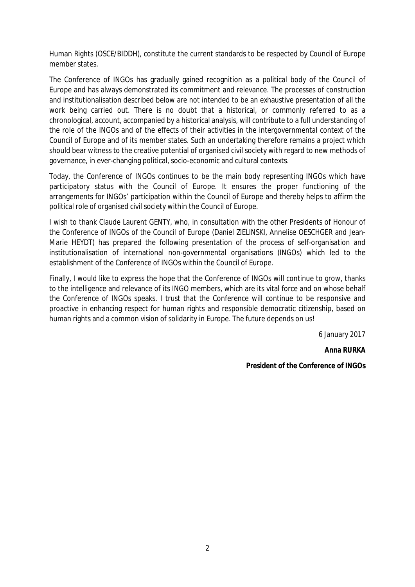Human Rights (OSCE/BIDDH), constitute the current standards to be respected by Council of Europe member states.

The Conference of INGOs has gradually gained recognition as a political body of the Council of Europe and has always demonstrated its commitment and relevance. The processes of construction and institutionalisation described below are not intended to be an exhaustive presentation of all the work being carried out. There is no doubt that a historical, or commonly referred to as a chronological, account, accompanied by a historical analysis, will contribute to a full understanding of the role of the INGOs and of the effects of their activities in the intergovernmental context of the Council of Europe and of its member states. Such an undertaking therefore remains a project which should bear witness to the creative potential of organised civil society with regard to new methods of governance, in ever-changing political, socio-economic and cultural contexts.

Today, the Conference of INGOs continues to be the main body representing INGOs which have participatory status with the Council of Europe. It ensures the proper functioning of the arrangements for INGOs' participation within the Council of Europe and thereby helps to affirm the political role of organised civil society within the Council of Europe.

I wish to thank Claude Laurent GENTY, who, in consultation with the other Presidents of Honour of the Conference of INGOs of the Council of Europe (Daniel ZIELINSKI, Annelise OESCHGER and Jean-Marie HEYDT) has prepared the following presentation of the process of self-organisation and institutionalisation of international non-governmental organisations (INGOs) which led to the establishment of the Conference of INGOs within the Council of Europe.

Finally, I would like to express the hope that the Conference of INGOs will continue to grow, thanks to the intelligence and relevance of its INGO members, which are its vital force and on whose behalf the Conference of INGOs speaks. I trust that the Conference will continue to be responsive and proactive in enhancing respect for human rights and responsible democratic citizenship, based on human rights and a common vision of solidarity in Europe. The future depends on us!

6 January 2017

**Anna RURKA**

**President of the Conference of INGOs**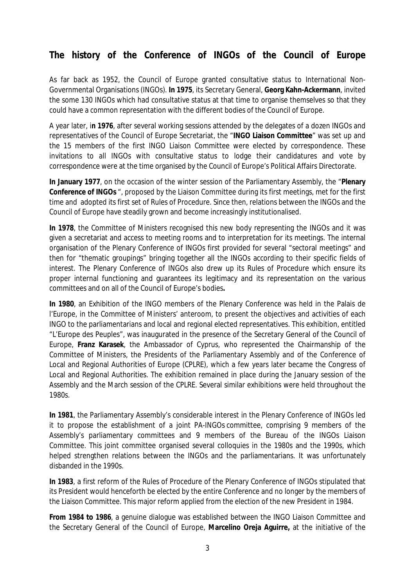# **The history of the Conference of INGOs of the Council of Europe**

As far back as 1952, the Council of Europe granted consultative status to International Non-Governmental Organisations (INGOs). **In 1975**, its Secretary General, **Georg Kahn-Ackermann**, invited the some 130 INGOs which had consultative status at that time to organise themselves so that they could have a common representation with the different bodies of the Council of Europe.

A year later, i**n 1976**, after several working sessions attended by the delegates of a dozen INGOs and representatives of the Council of Europe Secretariat, the "**INGO Liaison Committee**" was set up and the 15 members of the first INGO Liaison Committee were elected by correspondence. These invitations to all INGOs with consultative status to lodge their candidatures and vote by correspondence were at the time organised by the Council of Europe's Political Affairs Directorate.

**In January 1977**, on the occasion of the winter session of the Parliamentary Assembly, the "**Plenary Conference of INGOs** ", proposed by the Liaison Committee during its first meetings, met for the first time and adopted its first set of Rules of Procedure. Since then, relations between the INGOs and the Council of Europe have steadily grown and become increasingly institutionalised.

**In 1978**, the Committee of Ministers recognised this new body representing the INGOs and it was given a secretariat and access to meeting rooms and to interpretation for its meetings. The internal organisation of the Plenary Conference of INGOs first provided for several "sectoral meetings" and then for "thematic groupings" bringing together all the INGOs according to their specific fields of interest. The Plenary Conference of INGOs also drew up its Rules of Procedure which ensure its proper internal functioning and guarantees its legitimacy and its representation on the various committees and on all of the Council of Europe's bodies**.**

**In 1980**, an Exhibition of the INGO members of the Plenary Conference was held in the Palais de l'Europe, in the Committee of Ministers' anteroom, to present the objectives and activities of each INGO to the parliamentarians and local and regional elected representatives. This exhibition, entitled "L'Europe des Peuples", was inaugurated in the presence of the Secretary General of the Council of Europe, **Franz Karasek**, the Ambassador of Cyprus, who represented the Chairmanship of the Committee of Ministers, the Presidents of the Parliamentary Assembly and of the Conference of Local and Regional Authorities of Europe (CPLRE), which a few years later became the Congress of Local and Regional Authorities. The exhibition remained in place during the January session of the Assembly and the March session of the CPLRE. Several similar exhibitions were held throughout the 1980s.

**In 1981**, the Parliamentary Assembly's considerable interest in the Plenary Conference of INGOs led it to propose the establishment of a joint PA-INGOs committee, comprising 9 members of the Assembly's parliamentary committees and 9 members of the Bureau of the INGOs Liaison Committee. This joint committee organised several colloquies in the 1980s and the 1990s, which helped strengthen relations between the INGOs and the parliamentarians. It was unfortunately disbanded in the 1990s.

**In 1983**, a first reform of the Rules of Procedure of the Plenary Conference of INGOs stipulated that its President would henceforth be elected by the entire Conference and no longer by the members of the Liaison Committee. This major reform applied from the election of the new President in 1984.

**From 1984 to 1986**, a genuine dialogue was established between the INGO Liaison Committee and the Secretary General of the Council of Europe, **Marcelino Oreja Aguirre,** at the initiative of the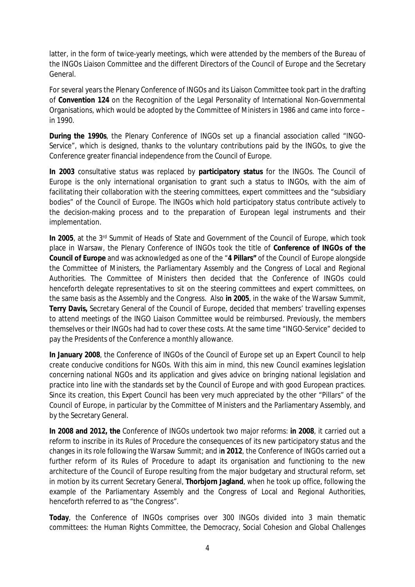latter, in the form of twice-yearly meetings, which were attended by the members of the Bureau of the INGOs Liaison Committee and the different Directors of the Council of Europe and the Secretary General.

For several years the Plenary Conference of INGOs and its Liaison Committee took part in the drafting of **Convention 124** on the Recognition of the Legal Personality of International Non-Governmental Organisations, which would be adopted by the Committee of Ministers in 1986 and came into force – in 1990.

**During the 1990s**, the Plenary Conference of INGOs set up a financial association called "INGO-Service", which is designed, thanks to the voluntary contributions paid by the INGOs, to give the Conference greater financial independence from the Council of Europe.

**In 2003** consultative status was replaced by **participatory status** for the INGOs. The Council of Europe is the only international organisation to grant such a status to INGOs, with the aim of facilitating their collaboration with the steering committees, expert committees and the "subsidiary bodies" of the Council of Europe. The INGOs which hold participatory status contribute actively to the decision-making process and to the preparation of European legal instruments and their implementation.

**In 2005**, at the 3rd Summit of Heads of State and Government of the Council of Europe, which took place in Warsaw, the Plenary Conference of INGOs took the title of **Conference of INGOs of the Council of Europe** and was acknowledged as one of the "**4 Pillars"** of the Council of Europe alongside the Committee of Ministers, the Parliamentary Assembly and the Congress of Local and Regional Authorities. The Committee of Ministers then decided that the Conference of INGOs could henceforth delegate representatives to sit on the steering committees and expert committees, on the same basis as the Assembly and the Congress. Also **in 2005**, in the wake of the Warsaw Summit, **Terry Davis,** Secretary General of the Council of Europe, decided that members' travelling expenses to attend meetings of the INGO Liaison Committee would be reimbursed. Previously, the members themselves or their INGOs had had to cover these costs. At the same time "INGO-Service" decided to pay the Presidents of the Conference a monthly allowance.

**In January 2008**, the Conference of INGOs of the Council of Europe set up an Expert Council to help create conducive conditions for NGOs. With this aim in mind, this new Council examines legislation concerning national NGOs and its application and gives advice on bringing national legislation and practice into line with the standards set by the Council of Europe and with good European practices. Since its creation, this Expert Council has been very much appreciated by the other "Pillars" of the Council of Europe, in particular by the Committee of Ministers and the Parliamentary Assembly, and by the Secretary General.

**In 2008 and 2012, the** Conference of INGOs undertook two major reforms: **in 2008**, it carried out a reform to inscribe in its Rules of Procedure the consequences of its new participatory status and the changes in its role following the Warsaw Summit; and i**n 2012**, the Conference of INGOs carried out a further reform of its Rules of Procedure to adapt its organisation and functioning to the new architecture of the Council of Europe resulting from the major budgetary and structural reform, set in motion by its current Secretary General, **Thorbjorn Jagland**, when he took up office, following the example of the Parliamentary Assembly and the Congress of Local and Regional Authorities, henceforth referred to as "the Congress".

**Today**, the Conference of INGOs comprises over 300 INGOs divided into 3 main thematic committees: the Human Rights Committee, the Democracy, Social Cohesion and Global Challenges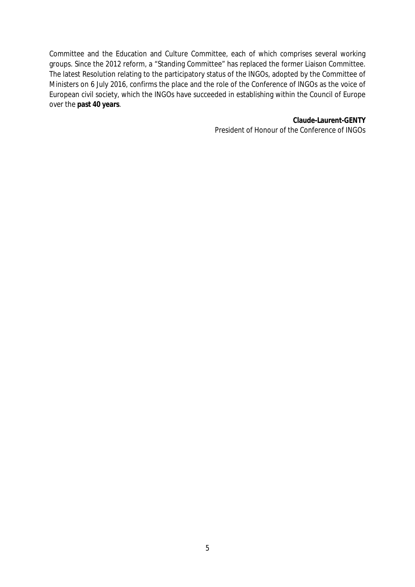Committee and the Education and Culture Committee, each of which comprises several working groups. Since the 2012 reform, a "Standing Committee" has replaced the former Liaison Committee. The latest Resolution relating to the participatory status of the INGOs, adopted by the Committee of Ministers on 6 July 2016, confirms the place and the role of the Conference of INGOs as the voice of European civil society, which the INGOs have succeeded in establishing within the Council of Europe over the **past 40 years**.

> **Claude-Laurent-GENTY** President of Honour of the Conference of INGOs